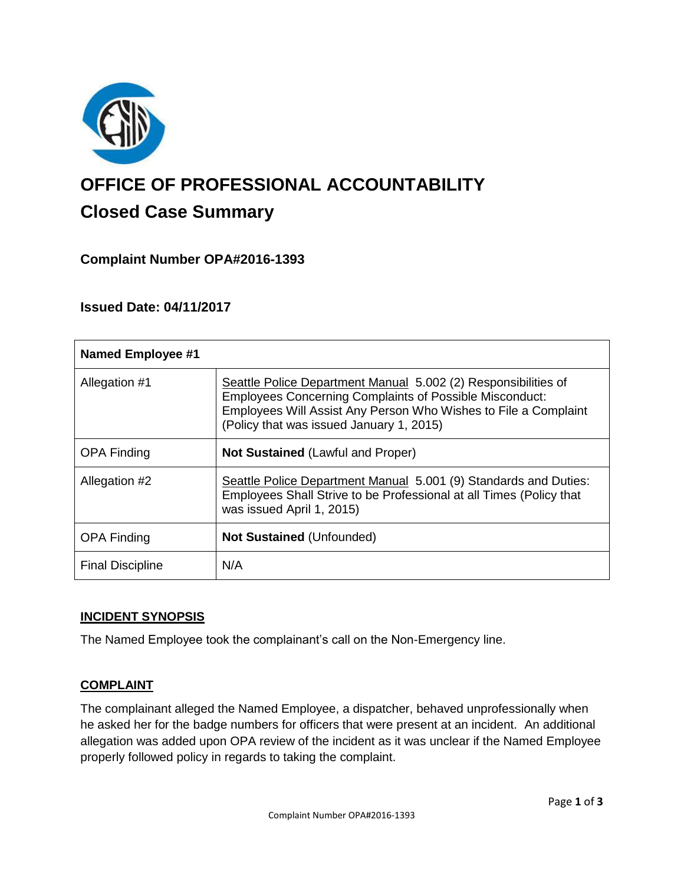

# **OFFICE OF PROFESSIONAL ACCOUNTABILITY Closed Case Summary**

## **Complaint Number OPA#2016-1393**

## **Issued Date: 04/11/2017**

| <b>Named Employee #1</b> |                                                                                                                                                                                                                                                 |
|--------------------------|-------------------------------------------------------------------------------------------------------------------------------------------------------------------------------------------------------------------------------------------------|
| Allegation #1            | Seattle Police Department Manual 5.002 (2) Responsibilities of<br><b>Employees Concerning Complaints of Possible Misconduct:</b><br>Employees Will Assist Any Person Who Wishes to File a Complaint<br>(Policy that was issued January 1, 2015) |
| <b>OPA Finding</b>       | <b>Not Sustained (Lawful and Proper)</b>                                                                                                                                                                                                        |
| Allegation #2            | Seattle Police Department Manual 5.001 (9) Standards and Duties:<br>Employees Shall Strive to be Professional at all Times (Policy that<br>was issued April 1, 2015)                                                                            |
| <b>OPA Finding</b>       | <b>Not Sustained (Unfounded)</b>                                                                                                                                                                                                                |
| <b>Final Discipline</b>  | N/A                                                                                                                                                                                                                                             |

### **INCIDENT SYNOPSIS**

The Named Employee took the complainant's call on the Non-Emergency line.

### **COMPLAINT**

The complainant alleged the Named Employee, a dispatcher, behaved unprofessionally when he asked her for the badge numbers for officers that were present at an incident. An additional allegation was added upon OPA review of the incident as it was unclear if the Named Employee properly followed policy in regards to taking the complaint.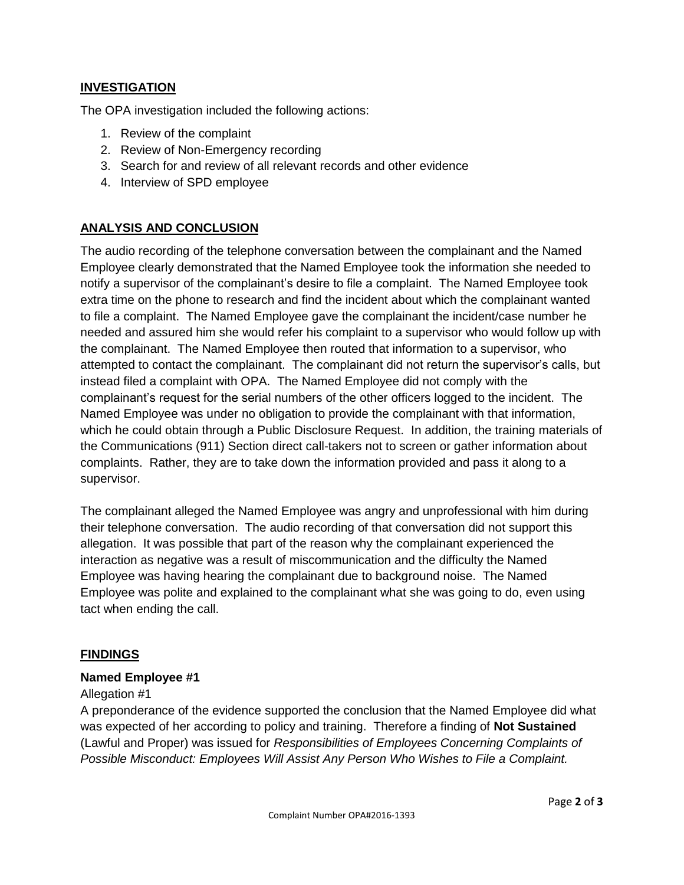## **INVESTIGATION**

The OPA investigation included the following actions:

- 1. Review of the complaint
- 2. Review of Non-Emergency recording
- 3. Search for and review of all relevant records and other evidence
- 4. Interview of SPD employee

## **ANALYSIS AND CONCLUSION**

The audio recording of the telephone conversation between the complainant and the Named Employee clearly demonstrated that the Named Employee took the information she needed to notify a supervisor of the complainant's desire to file a complaint. The Named Employee took extra time on the phone to research and find the incident about which the complainant wanted to file a complaint. The Named Employee gave the complainant the incident/case number he needed and assured him she would refer his complaint to a supervisor who would follow up with the complainant. The Named Employee then routed that information to a supervisor, who attempted to contact the complainant. The complainant did not return the supervisor's calls, but instead filed a complaint with OPA. The Named Employee did not comply with the complainant's request for the serial numbers of the other officers logged to the incident. The Named Employee was under no obligation to provide the complainant with that information, which he could obtain through a Public Disclosure Request. In addition, the training materials of the Communications (911) Section direct call-takers not to screen or gather information about complaints. Rather, they are to take down the information provided and pass it along to a supervisor.

The complainant alleged the Named Employee was angry and unprofessional with him during their telephone conversation. The audio recording of that conversation did not support this allegation. It was possible that part of the reason why the complainant experienced the interaction as negative was a result of miscommunication and the difficulty the Named Employee was having hearing the complainant due to background noise. The Named Employee was polite and explained to the complainant what she was going to do, even using tact when ending the call.

### **FINDINGS**

### **Named Employee #1**

#### Allegation #1

A preponderance of the evidence supported the conclusion that the Named Employee did what was expected of her according to policy and training. Therefore a finding of **Not Sustained** (Lawful and Proper) was issued for *Responsibilities of Employees Concerning Complaints of Possible Misconduct: Employees Will Assist Any Person Who Wishes to File a Complaint.*